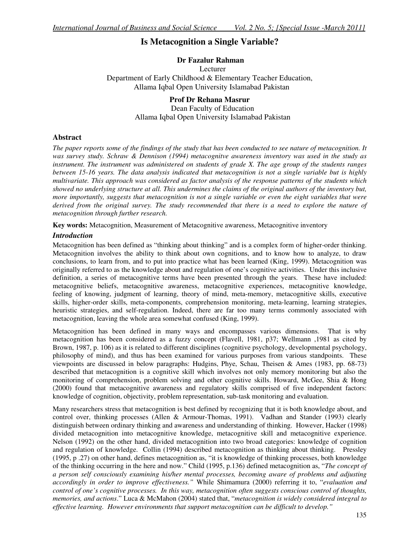# **Is Metacognition a Single Variable?**

### **Dr Fazalur Rahman**

 Lecturer Department of Early Childhood & Elementary Teacher Education, Allama Iqbal Open University Islamabad Pakistan

## **Prof Dr Rehana Masrur**

 Dean Faculty of Education Allama Iqbal Open University Islamabad Pakistan

### **Abstract**

*The paper reports some of the findings of the study that has been conducted to see nature of metacognition. It was survey study. Schraw & Dennison (1994) metacognitve awareness inventory was used in the study as instrument. The instrument was administered on students of grade X. The age group of the students ranges between 15-16 years. The data analysis indicated that metacognition is not a single variable but is highly multivariate. This approach was considered as factor analysis of the response patterns of the students which showed no underlying structure at all. This undermines the claims of the original authors of the inventory but, more importantly, suggests that metacognition is not a single variable or even the eight variables that were derived from the original survey. The study recommended that there is a need to explore the nature of metacognition through further research.* 

**Key words:** Metacognition, Measurement of Metacognitive awareness, Metacognitive inventory

### *Introduction*

Metacognition has been defined as "thinking about thinking" and is a complex form of higher-order thinking. Metacognition involves the ability to think about own cognitions, and to know how to analyze, to draw conclusions, to learn from, and to put into practice what has been learned (King, 1999). Metacognition was originally referred to as the knowledge about and regulation of one's cognitive activities. Under this inclusive definition, a series of metacognitive terms have been presented through the years. These have included: metacognitive beliefs, metacognitive awareness, metacognitive experiences, metacognitive knowledge, feeling of knowing, judgment of learning, theory of mind, meta-memory, metacognitive skills, executive skills, higher-order skills, meta-components, comprehension monitoring, meta-learning, learning strategies, heuristic strategies, and self-regulation. Indeed, there are far too many terms commonly associated with metacognition, leaving the whole area somewhat confused (King, 1999).

Metacognition has been defined in many ways and encompasses various dimensions. That is why metacognition has been considered as a fuzzy concept (Flavell, 1981, p37; Wellmann ,1981 as cited by Brown, 1987, p. 106) as it is related to different disciplines (cognitive psychology, developmental psychology, philosophy of mind), and thus has been examined for various purposes from various standpoints. These viewpoints are discussed in below paragraphs: Hudgins, Phye, Schau, Theisen & Ames (1983, pp. 68-73) described that metacognition is a cognitive skill which involves not only memory monitoring but also the monitoring of comprehension, problem solving and other cognitive skills. Howard, McGee, Shia & Hong (2000) found that metacognitive awareness and regulatory skills comprised of five independent factors: knowledge of cognition, objectivity, problem representation, sub-task monitoring and evaluation.

Many researchers stress that metacognition is best defined by recognizing that it is both knowledge about, and control over, thinking processes (Allen & Armour-Thomas, 1991). Vadhan and Stander (1993) clearly distinguish between ordinary thinking and awareness and understanding of thinking. However, Hacker (1998) divided metacognition into metacognitive knowledge, metacognitive skill and metacognitive experience. Nelson (1992) on the other hand, divided metacognition into two broad categories: knowledge of cognition and regulation of knowledge. Collin (1994) described metacognition as thinking about thinking. Pressley (1995, p .27) on other hand, defines metacognition as, "it is knowledge of thinking processes, both knowledge of the thinking occurring in the here and now." Child (1995, p.136) defined metacognition as, "*The concept of a person self consciously examining his/her mental processes, becoming aware of problems and adjusting accordingly in order to improve effectiveness."* While Shimamura (2000) referring it to, "*evaluation and control of one's cognitive processes. In this way, metacognition often suggests conscious control of thoughts, memories, and actions*." Luca & McMahon (2004) stated that, "*metacognition is widely considered integral to effective learning. However environments that support metacognition can be difficult to develop."*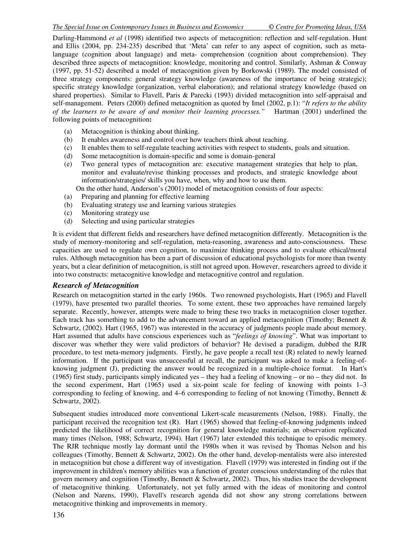Darling-Hammond *et al* (1998) identified two aspects of metacognition: reflection and self-regulation. Hunt and Ellis (2004, pp. 234-235) described that 'Meta' can refer to any aspect of cognition, such as metalanguage (cognition about language) and meta- comprehension (cognition about comprehension). They described three aspects of metacognition: knowledge, monitoring and control. Similarly, Ashman & Conway (1997, pp. 51-52) described a model of metacognition given by Borkowski (1989). The model consisted of three strategy components: general strategy knowledge (awareness of the importance of being strategic); specific strategy knowledge (organization, verbal elaboration); and relational strategy knowledge (based on shared properties). Similar to Flavell, Paris & Parecki (1993) divided metacognition into self-appraisal and self-management. Peters (2000) defined metacognition as quoted by Imel (2002, p.1): "*It refers to the ability of the learners to be aware of and monitor their learning processes."* Hartman (2001) underlined the following points of metacognition**:** 

- (a) Metacognition is thinking about thinking.
- (b) It enables awareness and control over how teachers think about teaching.
- (c) It enables them to self-regulate teaching activities with respect to students, goals and situation.
- (d) Some metacognition is domain-specific and some is domain-general
- (e) Two general types of metacognition are: executive management strategies that help to plan, monitor and evaluate/revise thinking processes and products, and strategic knowledge about information/strategies/ skills you have, when, why and how to use them.

On the other hand, Anderson's (2001) model of metacognition consists of four aspects:

- (a) Preparing and planning for effective learning
- (b) Evaluating strategy use and learning various strategies
- (c) Monitoring strategy use
- (d) Selecting and using particular strategies

It is evident that different fields and researchers have defined metacognition differently. Metacognition is the study of memory-monitoring and self-regulation, meta-reasoning, awareness and auto-consciousness. These capacities are used to regulate own cognition, to maximize thinking process and to evaluate ethical/moral rules. Although metacognition has been a part of discussion of educational psychologists for more than twenty years, but a clear definition of metacognition, is still not agreed upon. However, researchers agreed to divide it into two constructs: metacognitive knowledge and metacognitive control and regulation.

### *Research of Metacognition*

Research on metacognition started in the early 1960s. Two renowned psychologists, Hart (1965) and Flavell (1979), have presented two parallel theories. To some extent, these two approaches have remained largely separate. Recently, however, attempts were made to bring these two tracks in metacognition closer together. Each track has something to add to the advancement toward an applied metacognition (Timothy; Bennett & Schwartz, (2002). Hart (1965, 1967) was interested in the accuracy of judgments people made about memory. Hart assumed that adults have conscious experiences such as "*feelings of knowing*". What was important to discover was whether they were valid predictors of behavior? He devised a paradigm, dubbed the RJR procedure, to test meta-memory judgments. Firstly, he gave people a recall test (R) related to newly learned information. If the participant was unsuccessful at recall, the participant was asked to make a feeling-ofknowing judgment (J), predicting the answer would be recognized in a multiple-choice format. In Hart's (1965) first study, participants simply indicated yes – they had a feeling of knowing – or no – they did not. In the second experiment, Hart (1965) used a six-point scale for feeling of knowing with points 1–3 corresponding to feeling of knowing, and 4–6 corresponding to feeling of not knowing (Timothy, Bennett & Schwartz, 2002).

Subsequent studies introduced more conventional Likert-scale measurements (Nelson, 1988). Finally, the participant received the recognition test (R). Hart (1965) showed that feeling-of-knowing judgments indeed predicted the likelihood of correct recognition for general knowledge materials; an observation replicated many times (Nelson, 1988; Schwartz, 1994). Hart (1967) later extended this technique to episodic memory. The RJR technique mostly lay dormant until the 1980s when it was revised by Thomas Nelson and his colleagues (Timothy, Bennett & Schwartz, 2002). On the other hand, develop-mentalists were also interested in metacognition but chose a different way of investigation. Flavell (1979) was interested in finding out if the improvement in children's memory abilities was a function of greater conscious understanding of the rules that govern memory and cognition (Timothy, Bennett & Schwartz, 2002). Thus, his studies trace the development of metacognitive thinking. Unfortunately, not yet fully armed with the ideas of monitoring and control (Nelson and Narens, 1990), Flavell's research agenda did not show any strong correlations between metacognitive thinking and improvements in memory.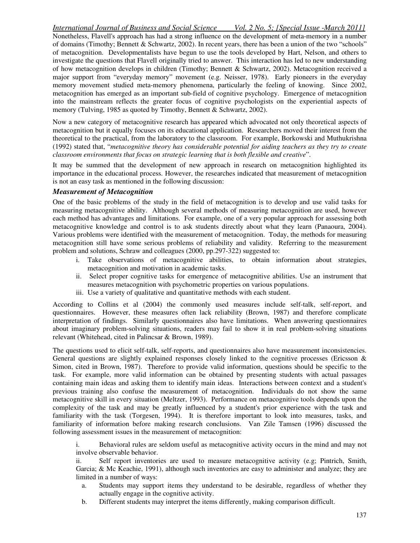*International Journal of Business and Social Science Vol. 2 No. 5; [Special Issue -March 2011]* Nonetheless, Flavell's approach has had a strong influence on the development of meta-memory in a number of domains (Timothy; Bennett & Schwartz, 2002). In recent years, there has been a union of the two "schools" of metacognition. Developmentalists have begun to use the tools developed by Hart, Nelson, and others to investigate the questions that Flavell originally tried to answer. This interaction has led to new understanding of how metacognition develops in children (Timothy; Bennett & Schwartz, 2002). Metacognition received a major support from "everyday memory" movement (e.g. Neisser, 1978). Early pioneers in the everyday memory movement studied meta-memory phenomena, particularly the feeling of knowing. Since 2002, metacognition has emerged as an important sub-field of cognitive psychology. Emergence of metacognition into the mainstream reflects the greater focus of cognitive psychologists on the experiential aspects of memory (Tulving, 1985 as quoted by Timothy, Bennett & Schwartz, 2002).

Now a new category of metacognitive research has appeared which advocated not only theoretical aspects of metacognition but it equally focuses on its educational application. Researchers moved their interest from the theoretical to the practical, from the laboratory to the classroom. For example, Borkowski and Muthukrishna (1992) stated that, "*metacognitive theory has considerable potential for aiding teachers as they try to create classroom environments that focus on strategic learning that is both flexible and creative*".

It may be summed that the development of new approach in research on metacognition highlighted its importance in the educational process. However, the researches indicated that measurement of metacognition is not an easy task as mentioned in the following discussion:

#### *Measurement of Metacognition*

One of the basic problems of the study in the field of metacognition is to develop and use valid tasks for measuring metacognitive ability. Although several methods of measuring metacognition are used, however each method has advantages and limitations. For example, one of a very popular approach for assessing both metacognitive knowledge and control is to ask students directly about what they learn (Panaoura, 2004). Various problems were identified with the measurement of metacognition. Today, the methods for measuring metacognition still have some serious problems of reliability and validity. Referring to the measurement problem and solutions, Schraw and colleagues (2000, pp.297-322) suggested to:

- i. Take observations of metacognitive abilities, to obtain information about strategies, metacognition and motivation in academic tasks.
- ii. Select proper cognitive tasks for emergence of metacognitive abilities. Use an instrument that measures metacognition with psychometric properties on various populations.
- iii. Use a variety of qualitative and quantitative methods with each student.

According to Collins et al (2004) the commonly used measures include self-talk, self-report, and questionnaires. However, these measures often lack reliability (Brown, 1987) and therefore complicate interpretation of findings. Similarly questionnaires also have limitations. When answering questionnaires about imaginary problem-solving situations, readers may fail to show it in real problem-solving situations relevant (Whitehead, cited in Palincsar & Brown, 1989).

The questions used to elicit self-talk, self-reports, and questionnaires also have measurement inconsistencies. General questions are slightly explained responses closely linked to the cognitive processes (Ericsson  $\&$ Simon, cited in Brown, 1987). Therefore to provide valid information, questions should be specific to the task. For example, more valid information can be obtained by presenting students with actual passages containing main ideas and asking them to identify main ideas. Interactions between context and a student's previous training also confuse the measurement of metacognition. Individuals do not show the same metacognitive skill in every situation (Meltzer, 1993). Performance on metacognitive tools depends upon the complexity of the task and may be greatly influenced by a student's prior experience with the task and familiarity with the task (Torgesen, 1994). It is therefore important to look into measures, tasks, and familiarity of information before making research conclusions. Van Zile Tamsen (1996) discussed the following assessment issues in the measurement of metacognition:

i. Behavioral rules are seldom useful as metacognitive activity occurs in the mind and may not involve observable behavior.

ii. Self report inventories are used to measure metacognitive activity (e.g; Pintrich, Smith, Garcia; & Mc Keachie, 1991), although such inventories are easy to administer and analyze; they are limited in a number of ways:

- a. Students may support items they understand to be desirable, regardless of whether they actually engage in the cognitive activity.
- b. Different students may interpret the items differently, making comparison difficult.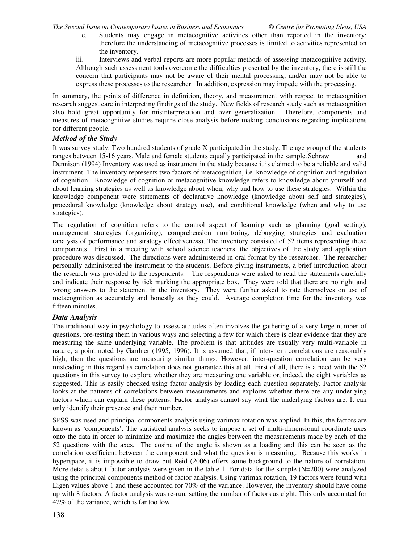- c. Students may engage in metacognitive activities other than reported in the inventory; therefore the understanding of metacognitive processes is limited to activities represented on the inventory.
- iii. Interviews and verbal reports are more popular methods of assessing metacognitive activity. Although such assessment tools overcome the difficulties presented by the inventory, there is still the concern that participants may not be aware of their mental processing, and/or may not be able to express these processes to the researcher. In addition, expression may impede with the processing.

In summary, the points of difference in definition, theory, and measurement with respect to metacognition research suggest care in interpreting findings of the study. New fields of research study such as metacognition also hold great opportunity for misinterpretation and over generalization. Therefore, components and measures of metacognitive studies require close analysis before making conclusions regarding implications for different people.

### *Method of the Study*

It was survey study. Two hundred students of grade X participated in the study. The age group of the students ranges between 15-16 years. Male and female students equally participated in the sample. Schraw and Dennison (1994) Inventory was used as instrument in the study because it is claimed to be a reliable and valid instrument. The inventory represents two factors of metacognition, i.e. knowledge of cognition and regulation of cognition. Knowledge of cognition or metacognitive knowledge refers to knowledge about yourself and about learning strategies as well as knowledge about when, why and how to use these strategies. Within the knowledge component were statements of declarative knowledge (knowledge about self and strategies), procedural knowledge (knowledge about strategy use), and conditional knowledge (when and why to use strategies).

The regulation of cognition refers to the control aspect of learning such as planning (goal setting), management strategies (organizing), comprehension monitoring, debugging strategies and evaluation (analysis of performance and strategy effectiveness). The inventory consisted of 52 items representing these components. First in a meeting with school science teachers, the objectives of the study and application procedure was discussed. The directions were administered in oral format by the researcher. The researcher personally administered the instrument to the students. Before giving instruments, a brief introduction about the research was provided to the respondents. The respondents were asked to read the statements carefully and indicate their response by tick marking the appropriate box. They were told that there are no right and wrong answers to the statement in the inventory. They were further asked to rate themselves on use of metacognition as accurately and honestly as they could. Average completion time for the inventory was fifteen minutes.

### *Data Analysis*

The traditional way in psychology to assess attitudes often involves the gathering of a very large number of questions, pre-testing them in various ways and selecting a few for which there is clear evidence that they are measuring the same underlying variable. The problem is that attitudes are usually very multi-variable in nature, a point noted by Gardner (1995, 1996). It is assumed that, if inter-item correlations are reasonably high, then the questions are measuring similar things. However, inter-question correlation can be very misleading in this regard as correlation does not guarantee this at all. First of all, there is a need with the 52 questions in this survey to explore whether they are measuring one variable or, indeed, the eight variables as suggested. This is easily checked using factor analysis by loading each question separately. Factor analysis looks at the patterns of correlations between measurements and explores whether there are any underlying factors which can explain these patterns. Factor analysis cannot say what the underlying factors are. It can only identify their presence and their number.

SPSS was used and principal components analysis using varimax rotation was applied. In this, the factors are known as 'components'. The statistical analysis seeks to impose a set of multi-dimensional coordinate axes onto the data in order to minimize and maximize the angles between the measurements made by each of the 52 questions with the axes. The cosine of the angle is shown as a loading and this can be seen as the correlation coefficient between the component and what the question is measuring. Because this works in hyperspace, it is impossible to draw but Reid (2006) offers some background to the nature of correlation. More details about factor analysis were given in the table 1. For data for the sample (N=200) were analyzed using the principal components method of factor analysis. Using varimax rotation, 19 factors were found with Eigen values above 1 and these accounted for 70% of the variance. However, the inventory should have come up with 8 factors. A factor analysis was re-run, setting the number of factors as eight. This only accounted for 42% of the variance, which is far too low.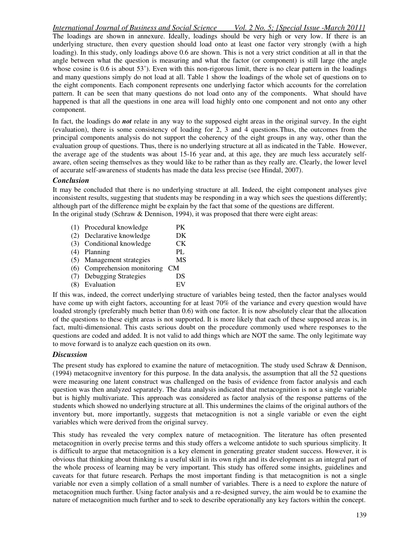*International Journal of Business and Social Science Vol. 2 No. 5; [Special Issue -March 2011]* The loadings are shown in annexure. Ideally, loadings should be very high or very low. If there is an underlying structure, then every question should load onto at least one factor very strongly (with a high loading). In this study, only loadings above 0.6 are shown. This is not a very strict condition at all in that the angle between what the question is measuring and what the factor (or component) is still large (the angle whose cosine is  $0.6$  is about  $53^{\circ}$ ). Even with this non-rigorous limit, there is no clear pattern in the loadings and many questions simply do not load at all. Table 1 show the loadings of the whole set of questions on to the eight components. Each component represents one underlying factor which accounts for the correlation pattern. It can be seen that many questions do not load onto any of the components. What should have happened is that all the questions in one area will load highly onto one component and not onto any other component.

In fact, the loadings do *not* relate in any way to the supposed eight areas in the original survey. In the eight (evaluation), there is some consistency of loading for 2, 3 and 4 questions.Thus, the outcomes from the principal components analysis do not support the coherency of the eight groups in any way, other than the evaluation group of questions. Thus, there is no underlying structure at all as indicated in the Table. However, the average age of the students was about 15-16 year and, at this age, they are much less accurately selfaware, often seeing themselves as they would like to be rather than as they really are. Clearly, the lower level of accurate self-awareness of students has made the data less precise (see Hindal, 2007).

#### *Conclusion*

It may be concluded that there is no underlying structure at all. Indeed, the eight component analyses give inconsistent results, suggesting that students may be responding in a way which sees the questions differently; although part of the difference might be explain by the fact that some of the questions are different. In the original study (Schraw & Dennison, 1994), it was proposed that there were eight areas:

(1) Procedural knowledge PK (2) Declarative knowledge DK (3) Conditional knowledge CK (4) Planning PL<br>(5) Management strategies MS (5) Management strategies (6) Comprehension monitoring CM (7) Debugging Strategies DS (8) Evaluation EV

If this was, indeed, the correct underlying structure of variables being tested, then the factor analyses would have come up with eight factors, accounting for at least 70% of the variance and every question would have loaded strongly (preferably much better than 0.6) with one factor. It is now absolutely clear that the allocation of the questions to these eight areas is not supported. It is more likely that each of these supposed areas is, in fact, multi-dimensional. This casts serious doubt on the procedure commonly used where responses to the questions are coded and added. It is not valid to add things which are NOT the same. The only legitimate way to move forward is to analyze each question on its own.

### *Discussion*

The present study has explored to examine the nature of metacognition. The study used Schraw & Dennison, (1994) metacognitve inventory for this purpose. In the data analysis, the assumption that all the 52 questions were measuring one latent construct was challenged on the basis of evidence from factor analysis and each question was then analyzed separately. The data analysis indicated that metacognition is not a single variable but is highly multivariate. This approach was considered as factor analysis of the response patterns of the students which showed no underlying structure at all. This undermines the claims of the original authors of the inventory but, more importantly, suggests that metacognition is not a single variable or even the eight variables which were derived from the original survey.

This study has revealed the very complex nature of metacognition. The literature has often presented metacognition in overly precise terms and this study offers a welcome antidote to such spurious simplicity. It is difficult to argue that metacognition is a key element in generating greater student success. However, it is obvious that thinking about thinking is a useful skill in its own right and its development as an integral part of the whole process of learning may be very important. This study has offered some insights, guidelines and caveats for that future research. Perhaps the most important finding is that metacognition is not a single variable nor even a simply collation of a small number of variables. There is a need to explore the nature of metacognition much further. Using factor analysis and a re-designed survey, the aim would be to examine the nature of metacognition much further and to seek to describe operationally any key factors within the concept.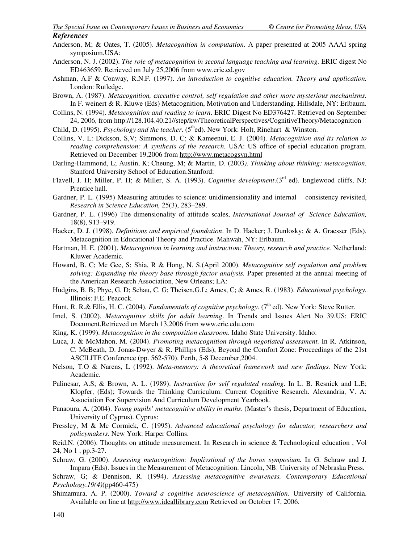- Anderson, M; & Oates, T. (2005). *Metacognition in computation.* A paper presented at 2005 AAAI spring symposium.USA:
- Anderson, N. J. (2002). *The role of metacognition in second language teaching and learning.* ERIC digest No ED463659. Retrieved on July 25,2006 from www.eric.ed.gov
- Ashman, A.F & Conway, R.N.F. (1997). *An introduction to cognitive education. Theory and application.* London: Rutledge.
- Brown, A. (1987). *Metacognition, executive control, self regulation and other more mysterious mechanisms.* In F. weinert & R. Kluwe (Eds) Metacognition, Motivation and Understanding. Hillsdale, NY: Erlbaum.
- Collins, N. (1994). *Metacognition and reading to learn*. ERIC Digest No ED376427. Retrieved on September 24, 2006, from http://128.104.40.21//step/kw/TheoreticalPerspectives/CognitiveTheory/Metacognition
- Child, D. (1995). *Psychology and the teacher.* (5<sup>th</sup>ed). New York: Holt, Rinehart & Winston.
- Collins, V. L: Dickson, S,V; Simmons, D. C; & Kameenui, E. J. (2004). *Metacognition and its relation to reading comprehension: A synthesis of the research.* USA: US office of special education program. Retrieved on December 19,2006 from http://www.metacogsyn.html
- Darling-Hammond, L; Austin, K; Cheung, M; & Martin, D. (2003*). Thinking about thinking: metacognition.* Stanford University School of Education.Stanford:
- Flavell, J. H; Miller, P. H; & Miller, S. A. (1993). *Cognitive development*.(3<sup>rd</sup> ed). Englewood cliffs, NJ: Prentice hall.
- Gardner, P. L. (1995) Measuring attitudes to science: unidimensionality and internal consistency revisited, *Research in Science Education,* 25(3), 283–289.
- Gardner, P. L. (1996) The dimensionality of attitude scales, *International Journal of Science Educatiion,*  18(8), 913–919.
- Hacker, D. J. (1998). *Definitions and empirical foundation*. In D. Hacker; J. Dunlosky; & A. Graesser (Eds). Metacognition in Educational Theory and Practice. Mahwah, NY: Erlbaum.
- Hartman, H. E. (2001). *Metacognition in learning and instruction: Theory, research and practice.* Netherland: Kluwer Academic.
- Howard, B. C; Mc Gee, S; Shia, R & Hong, N. S.(April 2000). *Metacognitive self regulation and problem solving: Expanding the theory base through factor analysis.* Paper presented at the annual meeting of the American Research Association, New Orleans; LA:
- Hudgins, B. B; Phye, G. D; Schau, C. G; Theisen,G.L; Ames, C; & Ames, R. (1983). *Educational psychology*. Illinois: F.E. Peacock.
- Hunt, R. R.& Ellis, H. C. (2004). *Fundamentals of cognitive psychology*. (7<sup>th</sup> ed). New York: Steve Rutter.
- Imel, S. (2002). *Metacognitive skills for adult learning*. In Trends and Issues Alert No 39.US: ERIC Document.Retrieved on March 13,2006 from www.eric.edu.com
- King, K. (1999). *Metacognition in the composition classroom*. Idaho State University. Idaho:
- Luca, J. & McMahon, M. (2004). *Promoting metacognition through negotiated assessment.* In R. Atkinson, C. McBeath, D. Jonas-Dwyer & R. Phillips (Eds), Beyond the Comfort Zone: Proceedings of the 21st ASCILITE Conference (pp. 562-570). Perth, 5-8 December,2004.
- Nelson, T.O & Narens, L (1992). *Meta-memory: A theoretical framework and new findings.* New York: Academic.
- Palinesar, A.S; & Brown, A. L. (1989). *Instruction for self regulated reading*. In L. B. Resnick and L.E; Klopfer, (Eds); Towards the Thinking Curriculum: Current Cognitive Research. Alexandria, V. A: Association For Supervision And Curriculum Development Yearbook.
- Panaoura, A. (2004). *Young pupils' metacognitive ability in maths*. (Master's thesis, Department of Education, University of Cyprus). Cyprus:
- Pressley, M & Mc Cormick, C. (1995). *Advanced educational psychology for educator, researchers and policymakers.* New York: Harper Collins.
- Reid,N. (2006). Thoughts on attitude measurement. In Research in science & Technological education , Vol 24, No 1 , pp.3-27.
- Schraw, G. (2000). *Assessing metacognition: Implivstiond of the boros symposium.* In G. Schraw and J. Impara (Eds). Issues in the Measurement of Metacognition. Lincoln, NB: University of Nebraska Press.
- Schraw, G; & Dennison, R. (1994). *Assessing metacognitive awareness. Contemporary Educational Psychology.19(4)*(pp460-475)
- Shimamura, A. P. (2000). *Toward a cognitive neuroscience of metacognition.* University of California. Available on line at http://www.ideallibrary.com Retrieved on October 17, 2006.